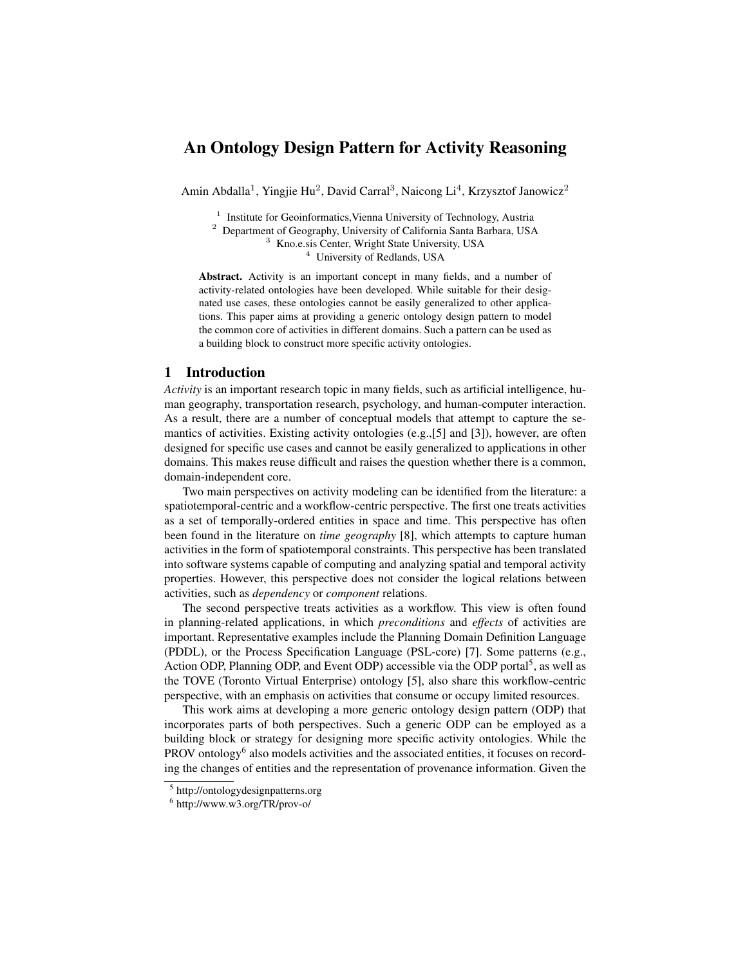# An Ontology Design Pattern for Activity Reasoning

Amin Abdalla<sup>1</sup>, Yingjie Hu<sup>2</sup>, David Carral<sup>3</sup>, Naicong Li<sup>4</sup>, Krzysztof Janowicz<sup>2</sup>

<sup>1</sup> Institute for Geoinformatics, Vienna University of Technology, Austria

<sup>2</sup> Department of Geography, University of California Santa Barbara, USA

<sup>3</sup> Kno.e.sis Center, Wright State University, USA

<sup>4</sup> University of Redlands, USA

Abstract. Activity is an important concept in many fields, and a number of activity-related ontologies have been developed. While suitable for their designated use cases, these ontologies cannot be easily generalized to other applications. This paper aims at providing a generic ontology design pattern to model the common core of activities in different domains. Such a pattern can be used as a building block to construct more specific activity ontologies.

## 1 Introduction

*Activity* is an important research topic in many fields, such as artificial intelligence, human geography, transportation research, psychology, and human-computer interaction. As a result, there are a number of conceptual models that attempt to capture the semantics of activities. Existing activity ontologies (e.g.,[\[5\]](#page-3-0) and [\[3\]](#page-3-1)), however, are often designed for specific use cases and cannot be easily generalized to applications in other domains. This makes reuse difficult and raises the question whether there is a common, domain-independent core.

Two main perspectives on activity modeling can be identified from the literature: a spatiotemporal-centric and a workflow-centric perspective. The first one treats activities as a set of temporally-ordered entities in space and time. This perspective has often been found in the literature on *time geography* [\[8\]](#page-3-2), which attempts to capture human activities in the form of spatiotemporal constraints. This perspective has been translated into software systems capable of computing and analyzing spatial and temporal activity properties. However, this perspective does not consider the logical relations between activities, such as *dependency* or *component* relations.

The second perspective treats activities as a workflow. This view is often found in planning-related applications, in which *preconditions* and *effects* of activities are important. Representative examples include the Planning Domain Definition Language (PDDL), or the Process Specification Language (PSL-core) [\[7\]](#page-3-3). Some patterns (e.g., Action ODP, Planning ODP, and Event ODP) accessible via the ODP portal<sup>5</sup>, as well as the TOVE (Toronto Virtual Enterprise) ontology [\[5\]](#page-3-0), also share this workflow-centric perspective, with an emphasis on activities that consume or occupy limited resources.

This work aims at developing a more generic ontology design pattern (ODP) that incorporates parts of both perspectives. Such a generic ODP can be employed as a building block or strategy for designing more specific activity ontologies. While the PROV ontology<sup>6</sup> also models activities and the associated entities, it focuses on recording the changes of entities and the representation of provenance information. Given the

<span id="page-0-0"></span><sup>5</sup> http://ontologydesignpatterns.org

<span id="page-0-1"></span><sup>6</sup> http://www.w3.org/TR/prov-o/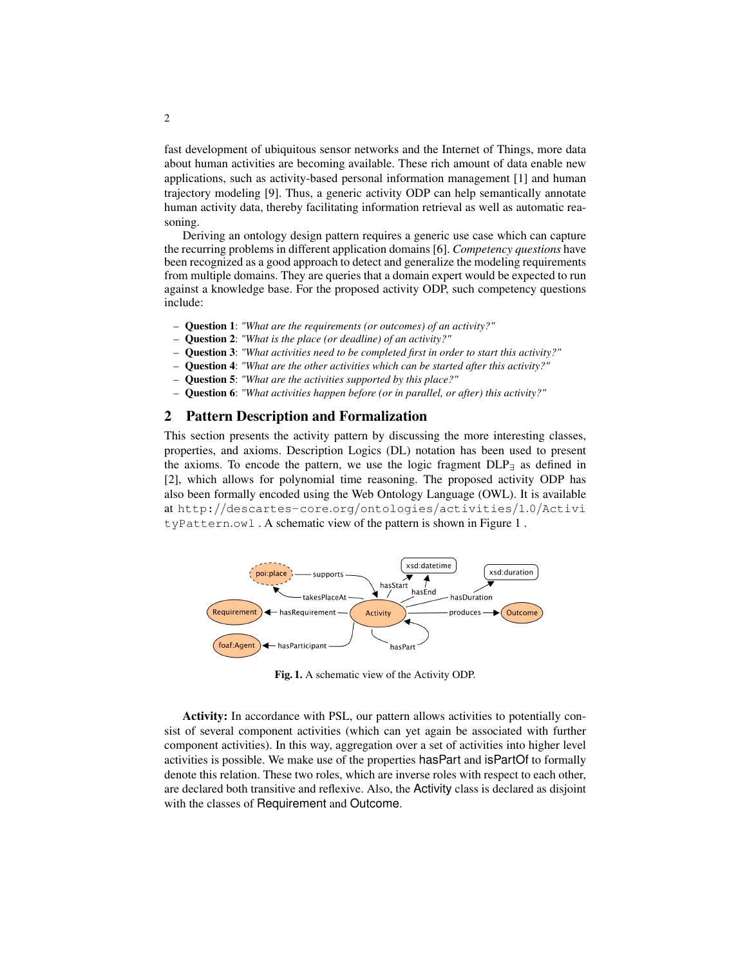fast development of ubiquitous sensor networks and the Internet of Things, more data about human activities are becoming available. These rich amount of data enable new applications, such as activity-based personal information management [\[1\]](#page-3-4) and human trajectory modeling [\[9\]](#page-3-5). Thus, a generic activity ODP can help semantically annotate human activity data, thereby facilitating information retrieval as well as automatic reasoning.

Deriving an ontology design pattern requires a generic use case which can capture the recurring problems in different application domains [\[6\]](#page-3-6). *Competency questions* have been recognized as a good approach to detect and generalize the modeling requirements from multiple domains. They are queries that a domain expert would be expected to run against a knowledge base. For the proposed activity ODP, such competency questions include:

- Question 1: *"What are the requirements (or outcomes) of an activity?"*
- Question 2: *"What is the place (or deadline) of an activity?"*
- Question 3: *"What activities need to be completed first in order to start this activity?"*
- Question 4: *"What are the other activities which can be started after this activity?"*
- Question 5: *"What are the activities supported by this place?"*
- Question 6: *"What activities happen before (or in parallel, or after) this activity?"*

### 2 Pattern Description and Formalization

This section presents the activity pattern by discussing the more interesting classes, properties, and axioms. Description Logics (DL) notation has been used to present the axioms. To encode the pattern, we use the logic fragment  $DLP<sub>3</sub>$  as defined in [\[2\]](#page-3-7), which allows for polynomial time reasoning. The proposed activity ODP has also been formally encoded using the Web Ontology Language (OWL). It is available at http:*//*[descartes-core](http://descartes-core.org/ontologies/activities/1.0/ActivityPattern.owl)*.*org*/*ontologies*/*activities*/*1*.*0*/*Activi [tyPattern](http://descartes-core.org/ontologies/activities/1.0/ActivityPattern.owl)*.*owl . A schematic view of the pattern is shown in Figure [1](#page-1-0) .



<span id="page-1-0"></span>Fig. 1. A schematic view of the Activity ODP.

Activity: In accordance with PSL, our pattern allows activities to potentially consist of several component activities (which can yet again be associated with further component activities). In this way, aggregation over a set of activities into higher level activities is possible. We make use of the properties hasPart and isPartOf to formally denote this relation. These two roles, which are inverse roles with respect to each other, are declared both transitive and reflexive. Also, the Activity class is declared as disjoint with the classes of Requirement and Outcome.

2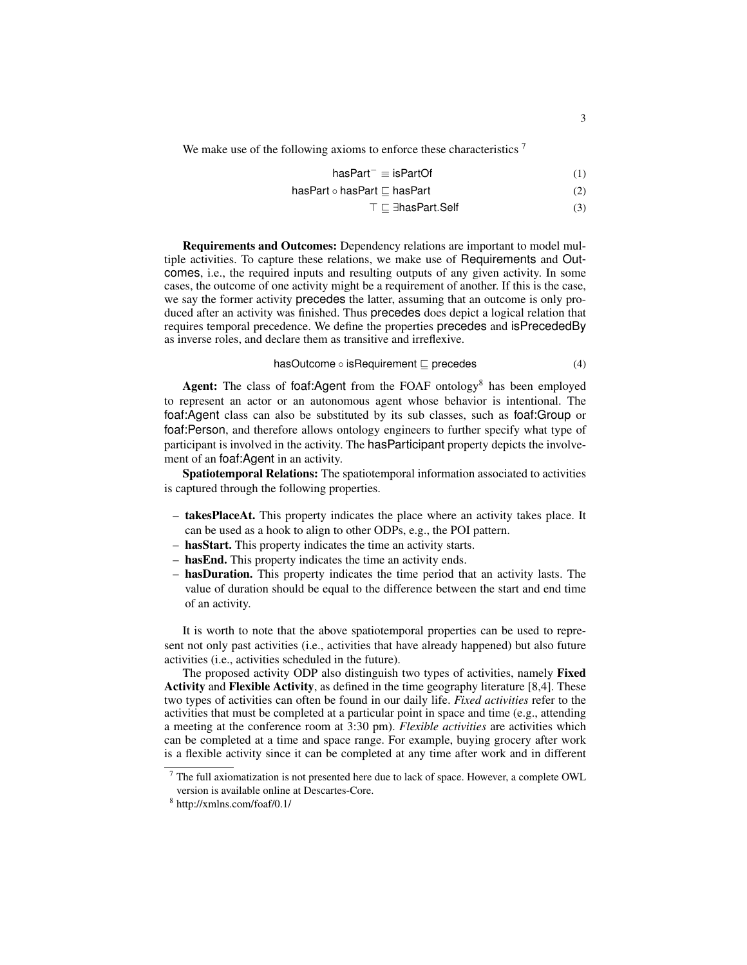We make use of the following axioms to enforce these characteristics <sup>[7](#page-2-0)</sup>

$$
hasPart^{-} \equiv isPartOf
$$
 (1)

$$
hasPart \circ hasPart \sqsubseteq hasPart
$$
 (2)

 $\top \sqsubseteq \exists$ hasPart.Self (3)

Requirements and Outcomes: Dependency relations are important to model multiple activities. To capture these relations, we make use of Requirements and Outcomes, i.e., the required inputs and resulting outputs of any given activity. In some cases, the outcome of one activity might be a requirement of another. If this is the case, we say the former activity precedes the latter, assuming that an outcome is only produced after an activity was finished. Thus precedes does depict a logical relation that requires temporal precedence. We define the properties precedes and isPrecededBy as inverse roles, and declare them as transitive and irreflexive.

#### has Outcome  $\circ$  is Requirement  $\Box$  precedes (4)

Agent: The class of foaf:Agent from the FOAF ontology<sup>[8](#page-2-1)</sup> has been employed to represent an actor or an autonomous agent whose behavior is intentional. The foaf:Agent class can also be substituted by its sub classes, such as foaf:Group or foaf:Person, and therefore allows ontology engineers to further specify what type of participant is involved in the activity. The hasParticipant property depicts the involvement of an foaf:Agent in an activity.

Spatiotemporal Relations: The spatiotemporal information associated to activities is captured through the following properties.

- takesPlaceAt. This property indicates the place where an activity takes place. It can be used as a hook to align to other ODPs, e.g., the POI pattern.
- hasStart. This property indicates the time an activity starts.
- hasEnd. This property indicates the time an activity ends.
- hasDuration. This property indicates the time period that an activity lasts. The value of duration should be equal to the difference between the start and end time of an activity.

It is worth to note that the above spatiotemporal properties can be used to represent not only past activities (i.e., activities that have already happened) but also future activities (i.e., activities scheduled in the future).

The proposed activity ODP also distinguish two types of activities, namely Fixed Activity and Flexible Activity, as defined in the time geography literature [\[8,](#page-3-2)[4\]](#page-3-8). These two types of activities can often be found in our daily life. *Fixed activities* refer to the activities that must be completed at a particular point in space and time (e.g., attending a meeting at the conference room at 3:30 pm). *Flexible activities* are activities which can be completed at a time and space range. For example, buying grocery after work is a flexible activity since it can be completed at any time after work and in different

<span id="page-2-0"></span> $<sup>7</sup>$  The full axiomatization is not presented here due to lack of space. However, a complete OWL</sup> version is available online at Descartes-Core.

<span id="page-2-1"></span><sup>8</sup> http://xmlns.com/foaf/0.1/